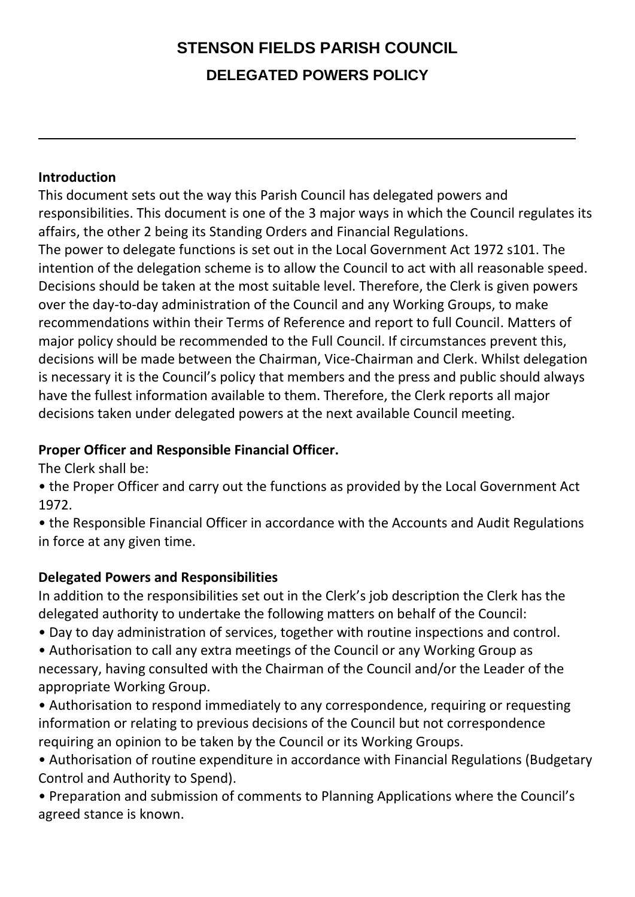# **STENSON FIELDS PARISH COUNCIL DELEGATED POWERS POLICY**

#### **Introduction**

This document sets out the way this Parish Council has delegated powers and responsibilities. This document is one of the 3 major ways in which the Council regulates its affairs, the other 2 being its Standing Orders and Financial Regulations. The power to delegate functions is set out in the Local Government Act 1972 s101. The intention of the delegation scheme is to allow the Council to act with all reasonable speed. Decisions should be taken at the most suitable level. Therefore, the Clerk is given powers over the day-to-day administration of the Council and any Working Groups, to make recommendations within their Terms of Reference and report to full Council. Matters of major policy should be recommended to the Full Council. If circumstances prevent this, decisions will be made between the Chairman, Vice-Chairman and Clerk. Whilst delegation is necessary it is the Council's policy that members and the press and public should always have the fullest information available to them. Therefore, the Clerk reports all major decisions taken under delegated powers at the next available Council meeting.

### **Proper Officer and Responsible Financial Officer.**

The Clerk shall be:

• the Proper Officer and carry out the functions as provided by the Local Government Act 1972.

• the Responsible Financial Officer in accordance with the Accounts and Audit Regulations in force at any given time.

### **Delegated Powers and Responsibilities**

In addition to the responsibilities set out in the Clerk's job description the Clerk has the delegated authority to undertake the following matters on behalf of the Council:

• Day to day administration of services, together with routine inspections and control.

• Authorisation to call any extra meetings of the Council or any Working Group as necessary, having consulted with the Chairman of the Council and/or the Leader of the appropriate Working Group.

• Authorisation to respond immediately to any correspondence, requiring or requesting information or relating to previous decisions of the Council but not correspondence requiring an opinion to be taken by the Council or its Working Groups.

• Authorisation of routine expenditure in accordance with Financial Regulations (Budgetary Control and Authority to Spend).

• Preparation and submission of comments to Planning Applications where the Council's agreed stance is known.